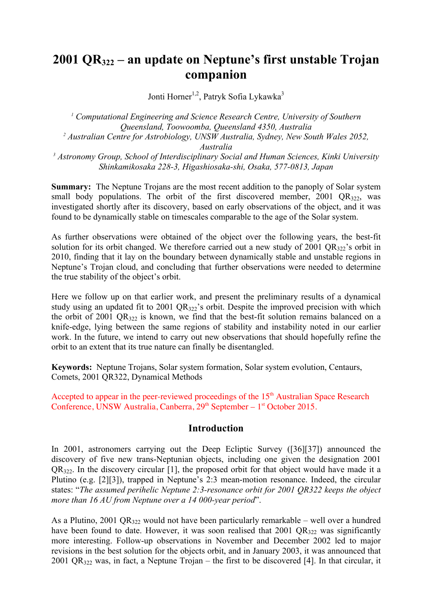# **2001 QR322 – an update on Neptune's first unstable Trojan companion**

Jonti Horner<sup>1,2</sup>, Patryk Sofia Lykawka<sup>3</sup>

*<sup>1</sup> Computational Engineering and Science Research Centre, University of Southern Queensland, Toowoomba, Queensland 4350, Australia <sup>2</sup> Australian Centre for Astrobiology, UNSW Australia, Sydney, New South Wales 2052, Australia <sup>3</sup> Astronomy Group, School of Interdisciplinary Social and Human Sciences, Kinki University Shinkamikosaka 228-3, Higashiosaka-shi, Osaka, 577-0813, Japan*

**Summary:** The Neptune Trojans are the most recent addition to the panoply of Solar system small body populations. The orbit of the first discovered member,  $2001 \text{ OR}_{322}$ , was investigated shortly after its discovery, based on early observations of the object, and it was found to be dynamically stable on timescales comparable to the age of the Solar system.

As further observations were obtained of the object over the following years, the best-fit solution for its orbit changed. We therefore carried out a new study of 2001  $QR_{322}$ 's orbit in 2010, finding that it lay on the boundary between dynamically stable and unstable regions in Neptune's Trojan cloud, and concluding that further observations were needed to determine the true stability of the object's orbit.

Here we follow up on that earlier work, and present the preliminary results of a dynamical study using an updated fit to 2001  $OR_{322}$ 's orbit. Despite the improved precision with which the orbit of 2001 QR $_{322}$  is known, we find that the best-fit solution remains balanced on a knife-edge, lying between the same regions of stability and instability noted in our earlier work. In the future, we intend to carry out new observations that should hopefully refine the orbit to an extent that its true nature can finally be disentangled.

**Keywords:** Neptune Trojans, Solar system formation, Solar system evolution, Centaurs, Comets, 2001 QR322, Dynamical Methods

Accepted to appear in the peer-reviewed proceedings of the  $15<sup>th</sup>$  Australian Space Research Conference, UNSW Australia, Canberra,  $29<sup>th</sup>$  September –  $1<sup>st</sup>$  October 2015.

#### **Introduction**

In 2001, astronomers carrying out the Deep Ecliptic Survey ([36][37]) announced the discovery of five new trans-Neptunian objects, including one given the designation 2001  $QR_{322}$ . In the discovery circular [1], the proposed orbit for that object would have made it a Plutino (e.g. [2][3]), trapped in Neptune's 2:3 mean-motion resonance. Indeed, the circular states: "*The assumed perihelic Neptune 2:3-resonance orbit for 2001 QR322 keeps the object more than 16 AU from Neptune over a 14 000-year period*".

As a Plutino, 2001 QR<sub>322</sub> would not have been particularly remarkable – well over a hundred have been found to date. However, it was soon realised that  $2001 \text{ QR}_{322}$  was significantly more interesting. Follow-up observations in November and December 2002 led to major revisions in the best solution for the objects orbit, and in January 2003, it was announced that 2001 QR $_{322}$  was, in fact, a Neptune Trojan – the first to be discovered [4]. In that circular, it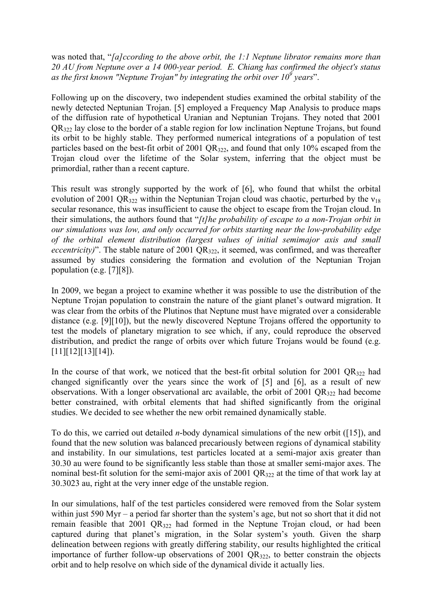was noted that, "*[a]ccording to the above orbit, the 1:1 Neptune librator remains more than 20 AU from Neptune over a 14 000-year period. E. Chiang has confirmed the object's status as the first known "Neptune Trojan" by integrating the orbit over 10<sup>9</sup> years*".

Following up on the discovery, two independent studies examined the orbital stability of the newly detected Neptunian Trojan. [5] employed a Frequency Map Analysis to produce maps of the diffusion rate of hypothetical Uranian and Neptunian Trojans. They noted that 2001  $QR_{322}$  lay close to the border of a stable region for low inclination Neptune Trojans, but found its orbit to be highly stable. They performed numerical integrations of a population of test particles based on the best-fit orbit of 2001 QR<sub>322</sub>, and found that only 10% escaped from the Trojan cloud over the lifetime of the Solar system, inferring that the object must be primordial, rather than a recent capture.

This result was strongly supported by the work of [6], who found that whilst the orbital evolution of 2001 QR<sub>322</sub> within the Neptunian Trojan cloud was chaotic, perturbed by the  $v_{18}$ secular resonance, this was insufficient to cause the object to escape from the Trojan cloud. In their simulations, the authors found that "*[t]he probability of escape to a non-Trojan orbit in our simulations was low, and only occurred for orbits starting near the low-probability edge of the orbital element distribution (largest values of initial semimajor axis and small eccentricity*)". The stable nature of 2001 QR<sub>322</sub>, it seemed, was confirmed, and was thereafter assumed by studies considering the formation and evolution of the Neptunian Trojan population (e.g. [7][8]).

In 2009, we began a project to examine whether it was possible to use the distribution of the Neptune Trojan population to constrain the nature of the giant planet's outward migration. It was clear from the orbits of the Plutinos that Neptune must have migrated over a considerable distance (e.g. [9][10]), but the newly discovered Neptune Trojans offered the opportunity to test the models of planetary migration to see which, if any, could reproduce the observed distribution, and predict the range of orbits over which future Trojans would be found (e.g.  $[11][12][13][14]$ .

In the course of that work, we noticed that the best-fit orbital solution for 2001  $QR_{322}$  had changed significantly over the years since the work of [5] and [6], as a result of new observations. With a longer observational arc available, the orbit of 2001  $QR_{322}$  had become better constrained, with orbital elements that had shifted significantly from the original studies. We decided to see whether the new orbit remained dynamically stable.

To do this, we carried out detailed *n*-body dynamical simulations of the new orbit ([15]), and found that the new solution was balanced precariously between regions of dynamical stability and instability. In our simulations, test particles located at a semi-major axis greater than 30.30 au were found to be significantly less stable than those at smaller semi-major axes. The nominal best-fit solution for the semi-major axis of 2001  $QR_{322}$  at the time of that work lay at 30.3023 au, right at the very inner edge of the unstable region.

In our simulations, half of the test particles considered were removed from the Solar system within just 590 Myr – a period far shorter than the system's age, but not so short that it did not remain feasible that 2001 QR<sub>322</sub> had formed in the Neptune Trojan cloud, or had been captured during that planet's migration, in the Solar system's youth. Given the sharp delineation between regions with greatly differing stability, our results highlighted the critical importance of further follow-up observations of 2001  $QR_{322}$ , to better constrain the objects orbit and to help resolve on which side of the dynamical divide it actually lies.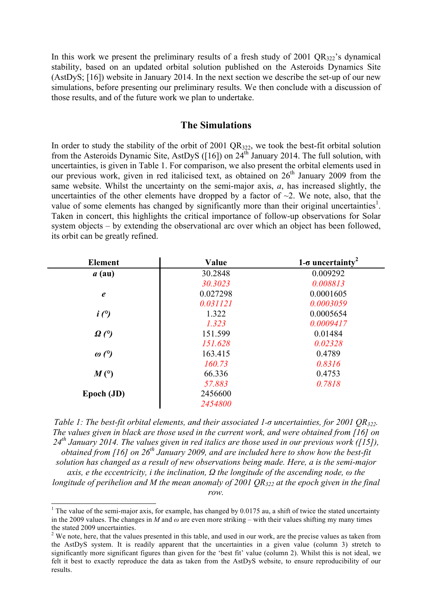In this work we present the preliminary results of a fresh study of 2001  $QR_{322}$ 's dynamical stability, based on an updated orbital solution published on the Asteroids Dynamics Site (AstDyS; [16]) website in January 2014. In the next section we describe the set-up of our new simulations, before presenting our preliminary results. We then conclude with a discussion of those results, and of the future work we plan to undertake.

#### **The Simulations**

In order to study the stability of the orbit of 2001 QR<sub>322</sub>, we took the best-fit orbital solution from the Asteroids Dynamic Site, AstDyS ([16]) on  $24<sup>th</sup>$  January 2014. The full solution, with uncertainties, is given in Table 1. For comparison, we also present the orbital elements used in our previous work, given in red italicised text, as obtained on  $26<sup>th</sup>$  January 2009 from the same website. Whilst the uncertainty on the semi-major axis, *a*, has increased slightly, the uncertainties of the other elements have dropped by a factor of  $\sim$ 2. We note, also, that the value of some elements has changed by significantly more than their original uncertainties<sup>1</sup>. Taken in concert, this highlights the critical importance of follow-up observations for Solar system objects – by extending the observational arc over which an object has been followed, its orbit can be greatly refined.

| <b>Element</b>         | Value    | $1$ - $\sigma$ uncertainty <sup>2</sup> |
|------------------------|----------|-----------------------------------------|
| $a$ (au)               | 30.2848  | 0.009292                                |
|                        | 30.3023  | 0.008813                                |
| $\boldsymbol{\ell}$    | 0.027298 | 0.0001605                               |
|                        | 0.031121 | 0.0003059                               |
| i(°)                   | 1.322    | 0.0005654                               |
|                        | 1.323    | 0.0009417                               |
| $\Omega$ (°)           | 151.599  | 0.01484                                 |
|                        | 151.628  | 0.02328                                 |
| $\omega$ ( $\degree$ ) | 163.415  | 0.4789                                  |
|                        | 160.73   | 0.8316                                  |
| M(°)                   | 66.336   | 0.4753                                  |
|                        | 57.883   | 0.7818                                  |
| Epoch (JD)             | 2456600  |                                         |
|                        | 2454800  |                                         |

*Table 1: The best-fit orbital elements, and their associated 1*-*σ uncertainties, for 2001 QR322. The values given in black are those used in the current work, and were obtained from [16] on 24th January 2014. The values given in red italics are those used in our previous work ([15]), obtained from [16] on 26th January 2009, and are included here to show how the best-fit solution has changed as a result of new observations being made. Here, a is the semi-major axis, e the eccentricity, i the inclination, Ω the longitude of the ascending node, ω the longitude of perihelion and M the mean anomaly of 2001 QR322 at the epoch given in the final row.*

<sup>&</sup>lt;sup>1</sup> The value of the semi-major axis, for example, has changed by 0.0175 au, a shift of twice the stated uncertainty in the 2009 values. The changes in *M* and  $\omega$  are even more striking – with their values shifting my many times the stated 2009 uncertainties.

 $2$  We note, here, that the values presented in this table, and used in our work, are the precise values as taken from the AstDyS system. It is readily apparent that the uncertainties in a given value (column 3) stretch to significantly more significant figures than given for the 'best fit' value (column 2). Whilst this is not ideal, we felt it best to exactly reproduce the data as taken from the AstDyS website, to ensure reproducibility of our results.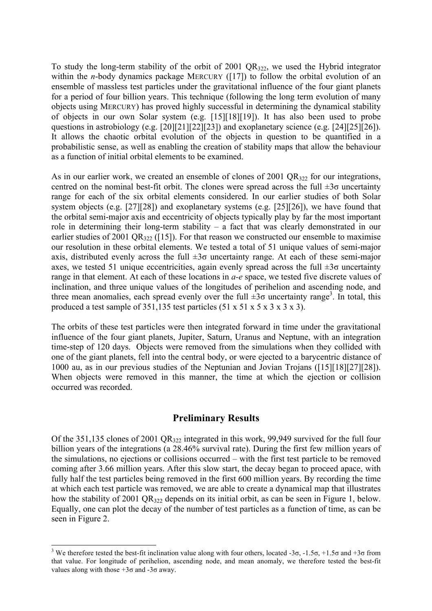To study the long-term stability of the orbit of 2001 QR322, we used the Hybrid integrator within the *n*-body dynamics package MERCURY ([17]) to follow the orbital evolution of an ensemble of massless test particles under the gravitational influence of the four giant planets for a period of four billion years. This technique (following the long term evolution of many objects using MERCURY) has proved highly successful in determining the dynamical stability of objects in our own Solar system (e.g. [15][18][19]). It has also been used to probe questions in astrobiology (e.g. [20][21][22][23]) and exoplanetary science (e.g. [24][25][26]). It allows the chaotic orbital evolution of the objects in question to be quantified in a probabilistic sense, as well as enabling the creation of stability maps that allow the behaviour as a function of initial orbital elements to be examined.

As in our earlier work, we created an ensemble of clones of 2001  $QR_{322}$  for our integrations, centred on the nominal best-fit orbit. The clones were spread across the full  $\pm 3\sigma$  uncertainty range for each of the six orbital elements considered. In our earlier studies of both Solar system objects (e.g. [27][28]) and exoplanetary systems (e.g. [25][26]), we have found that the orbital semi-major axis and eccentricity of objects typically play by far the most important role in determining their long-term stability – a fact that was clearly demonstrated in our earlier studies of 2001 QR $_{322}$  ([15]). For that reason we constructed our ensemble to maximise our resolution in these orbital elements. We tested a total of 51 unique values of semi-major axis, distributed evenly across the full  $\pm 3\sigma$  uncertainty range. At each of these semi-major axes, we tested 51 unique eccentricities, again evenly spread across the full  $\pm 3\sigma$  uncertainty range in that element. At each of these locations in *a-e* space, we tested five discrete values of inclination, and three unique values of the longitudes of perihelion and ascending node, and three mean anomalies, each spread evenly over the full  $\pm 3\sigma$  uncertainty range<sup>3</sup>. In total, this produced a test sample of 351,135 test particles  $(51 \times 51 \times 5 \times 3 \times 3 \times 3)$ .

The orbits of these test particles were then integrated forward in time under the gravitational influence of the four giant planets, Jupiter, Saturn, Uranus and Neptune, with an integration time-step of 120 days. Objects were removed from the simulations when they collided with one of the giant planets, fell into the central body, or were ejected to a barycentric distance of 1000 au, as in our previous studies of the Neptunian and Jovian Trojans ([15][18][27][28]). When objects were removed in this manner, the time at which the ejection or collision occurred was recorded.

### **Preliminary Results**

Of the 351,135 clones of 2001 QR322 integrated in this work, 99,949 survived for the full four billion years of the integrations (a 28.46% survival rate). During the first few million years of the simulations, no ejections or collisions occurred – with the first test particle to be removed coming after 3.66 million years. After this slow start, the decay began to proceed apace, with fully half the test particles being removed in the first 600 million years. By recording the time at which each test particle was removed, we are able to create a dynamical map that illustrates how the stability of 2001  $OR_{322}$  depends on its initial orbit, as can be seen in Figure 1, below. Equally, one can plot the decay of the number of test particles as a function of time, as can be seen in Figure 2.

<sup>&</sup>lt;sup>3</sup> We therefore tested the best-fit inclination value along with four others, located -3σ, -1.5σ, +1.5σ and +3σ from that value. For longitude of perihelion, ascending node, and mean anomaly, we therefore tested the best-fit values along with those  $+3\sigma$  and  $-3\sigma$  away.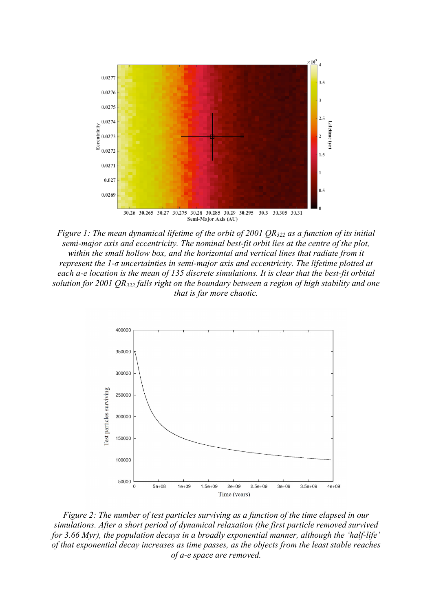

*Figure 1: The mean dynamical lifetime of the orbit of 2001 QR322 as a function of its initial semi-major axis and eccentricity. The nominal best-fit orbit lies at the centre of the plot,*  within the small hollow box, and the horizontal and vertical lines that radiate from it *represent the 1-σ uncertainties in semi-major axis and eccentricity. The lifetime plotted at each a-e location is the mean of 135 discrete simulations. It is clear that the best-fit orbital solution for 2001 QR322 falls right on the boundary between a region of high stability and one that is far more chaotic.* 



*Figure 2: The number of test particles surviving as a function of the time elapsed in our simulations. After a short period of dynamical relaxation (the first particle removed survived for 3.66 Myr), the population decays in a broadly exponential manner, although the 'half-life' of that exponential decay increases as time passes, as the objects from the least stable reaches of a-e space are removed.*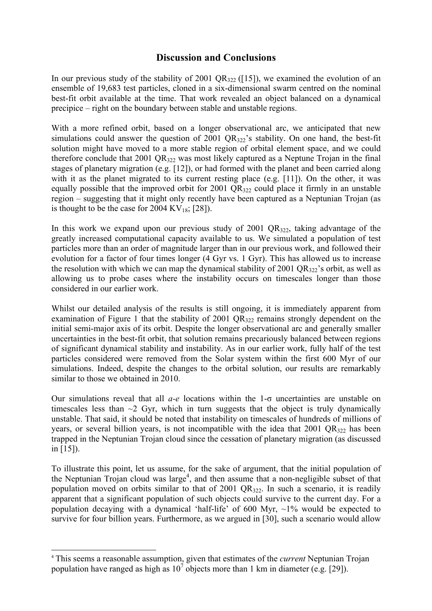## **Discussion and Conclusions**

In our previous study of the stability of 2001 QR $_{322}$  ([15]), we examined the evolution of an ensemble of 19,683 test particles, cloned in a six-dimensional swarm centred on the nominal best-fit orbit available at the time. That work revealed an object balanced on a dynamical precipice – right on the boundary between stable and unstable regions.

With a more refined orbit, based on a longer observational arc, we anticipated that new simulations could answer the question of 2001  $QR_{322}$ 's stability. On one hand, the best-fit solution might have moved to a more stable region of orbital element space, and we could therefore conclude that 2001  $OR_{322}$  was most likely captured as a Neptune Trojan in the final stages of planetary migration (e.g. [12]), or had formed with the planet and been carried along with it as the planet migrated to its current resting place (e.g. [11]). On the other, it was equally possible that the improved orbit for  $2001 \text{ OR}_{322}$  could place it firmly in an unstable region – suggesting that it might only recently have been captured as a Neptunian Trojan (as is thought to be the case for  $2004 \text{ KV}_{18}$ ; [28]).

In this work we expand upon our previous study of  $2001 \text{ QR}_{322}$ , taking advantage of the greatly increased computational capacity available to us. We simulated a population of test particles more than an order of magnitude larger than in our previous work, and followed their evolution for a factor of four times longer (4 Gyr vs. 1 Gyr). This has allowed us to increase the resolution with which we can map the dynamical stability of 2001 QR $_{322}$ 's orbit, as well as allowing us to probe cases where the instability occurs on timescales longer than those considered in our earlier work.

Whilst our detailed analysis of the results is still ongoing, it is immediately apparent from examination of Figure 1 that the stability of 2001 QR<sub>322</sub> remains strongly dependent on the initial semi-major axis of its orbit. Despite the longer observational arc and generally smaller uncertainties in the best-fit orbit, that solution remains precariously balanced between regions of significant dynamical stability and instability. As in our earlier work, fully half of the test particles considered were removed from the Solar system within the first 600 Myr of our simulations. Indeed, despite the changes to the orbital solution, our results are remarkably similar to those we obtained in 2010.

Our simulations reveal that all *a-e* locations within the 1-σ uncertainties are unstable on timescales less than  $\sim$ 2 Gyr, which in turn suggests that the object is truly dynamically unstable. That said, it should be noted that instability on timescales of hundreds of millions of years, or several billion years, is not incompatible with the idea that  $2001 \text{ QR}_{322}$  has been trapped in the Neptunian Trojan cloud since the cessation of planetary migration (as discussed in [15]).

To illustrate this point, let us assume, for the sake of argument, that the initial population of the Neptunian Trojan cloud was large<sup>4</sup>, and then assume that a non-negligible subset of that population moved on orbits similar to that of 2001 QR322. In such a scenario, it is readily apparent that a significant population of such objects could survive to the current day. For a population decaying with a dynamical 'half-life' of 600 Myr,  $\sim$ 1% would be expected to survive for four billion years. Furthermore, as we argued in [30], such a scenario would allow

 <sup>4</sup> This seems a reasonable assumption, given that estimates of the *current* Neptunian Trojan population have ranged as high as  $10^7$  objects more than 1 km in diameter (e.g. [29]).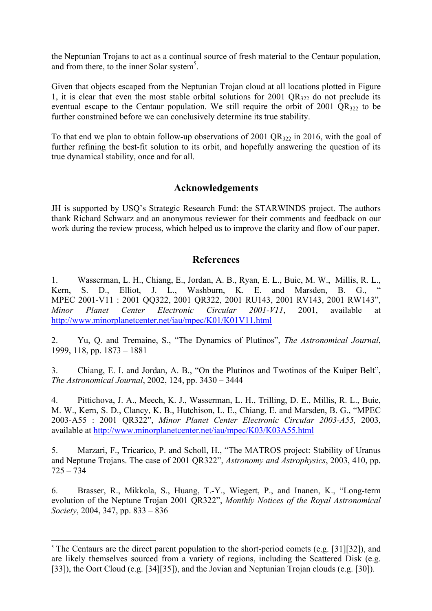the Neptunian Trojans to act as a continual source of fresh material to the Centaur population, and from there, to the inner Solar system<sup>5</sup>.

Given that objects escaped from the Neptunian Trojan cloud at all locations plotted in Figure 1, it is clear that even the most stable orbital solutions for 2001  $QR_{322}$  do not preclude its eventual escape to the Centaur population. We still require the orbit of 2001  $QR_{322}$  to be further constrained before we can conclusively determine its true stability.

To that end we plan to obtain follow-up observations of 2001 QR $_{322}$  in 2016, with the goal of further refining the best-fit solution to its orbit, and hopefully answering the question of its true dynamical stability, once and for all.

### **Acknowledgements**

JH is supported by USQ's Strategic Research Fund: the STARWINDS project. The authors thank Richard Schwarz and an anonymous reviewer for their comments and feedback on our work during the review process, which helped us to improve the clarity and flow of our paper.

### **References**

1. Wasserman, L. H., Chiang, E., Jordan, A. B., Ryan, E. L., Buie, M. W., Millis, R. L., Kern, S. D., Elliot, J. L., Washburn, K. E. and Marsden, B. G., MPEC 2001-V11 : 2001 QQ322, 2001 QR322, 2001 RU143, 2001 RV143, 2001 RW143", *Minor Planet Center Electronic Circular 2001-V11*, 2001, available at http://www.minorplanetcenter.net/iau/mpec/K01/K01V11.html

2. Yu, Q. and Tremaine, S., "The Dynamics of Plutinos", *The Astronomical Journal*, 1999, 118, pp. 1873 – 1881

3. Chiang, E. I. and Jordan, A. B., "On the Plutinos and Twotinos of the Kuiper Belt", *The Astronomical Journal*, 2002, 124, pp. 3430 – 3444

4. Pittichova, J. A., Meech, K. J., Wasserman, L. H., Trilling, D. E., Millis, R. L., Buie, M. W., Kern, S. D., Clancy, K. B., Hutchison, L. E., Chiang, E. and Marsden, B. G., "MPEC 2003-A55 : 2001 QR322", *Minor Planet Center Electronic Circular 2003-A55,* 2003, available at http://www.minorplanetcenter.net/iau/mpec/K03/K03A55.html

5. Marzari, F., Tricarico, P. and Scholl, H., "The MATROS project: Stability of Uranus and Neptune Trojans. The case of 2001 QR322", *Astronomy and Astrophysics*, 2003, 410, pp. 725 – 734

6. Brasser, R., Mikkola, S., Huang, T.-Y., Wiegert, P., and Inanen, K., "Long-term evolution of the Neptune Trojan 2001 QR322", *Monthly Notices of the Royal Astronomical Society*, 2004, 347, pp. 833 – 836

 $5$  The Centaurs are the direct parent population to the short-period comets (e.g. [31][32]), and are likely themselves sourced from a variety of regions, including the Scattered Disk (e.g. [33]), the Oort Cloud (e.g. [34][35]), and the Jovian and Neptunian Trojan clouds (e.g. [30]).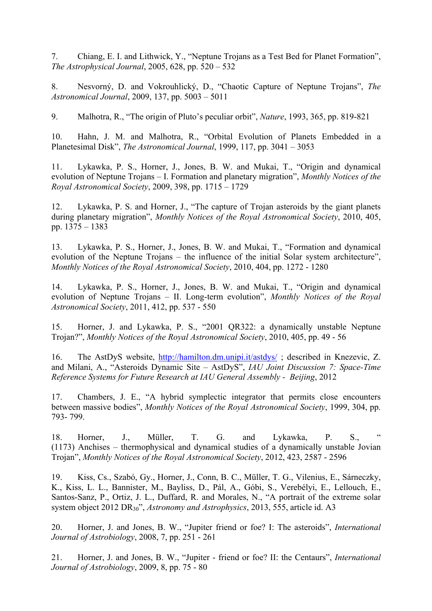7. Chiang, E. I. and Lithwick, Y., "Neptune Trojans as a Test Bed for Planet Formation", *The Astrophysical Journal*, 2005, 628, pp. 520 – 532

8. Nesvorný, D. and Vokrouhlický, D., "Chaotic Capture of Neptune Trojans", *The Astronomical Journal*, 2009, 137, pp. 5003 – 5011

9. Malhotra, R., "The origin of Pluto's peculiar orbit", *Nature*, 1993, 365, pp. 819-821

10. Hahn, J. M. and Malhotra, R., "Orbital Evolution of Planets Embedded in a Planetesimal Disk", *The Astronomical Journal*, 1999, 117, pp. 3041 – 3053

11. Lykawka, P. S., Horner, J., Jones, B. W. and Mukai, T., "Origin and dynamical evolution of Neptune Trojans – I. Formation and planetary migration", *Monthly Notices of the Royal Astronomical Society*, 2009, 398, pp. 1715 – 1729

12. Lykawka, P. S. and Horner, J., "The capture of Trojan asteroids by the giant planets during planetary migration", *Monthly Notices of the Royal Astronomical Society*, 2010, 405, pp. 1375 – 1383

13. Lykawka, P. S., Horner, J., Jones, B. W. and Mukai, T., "Formation and dynamical evolution of the Neptune Trojans – the influence of the initial Solar system architecture", *Monthly Notices of the Royal Astronomical Society*, 2010, 404, pp. 1272 - 1280

14. Lykawka, P. S., Horner, J., Jones, B. W. and Mukai, T., "Origin and dynamical evolution of Neptune Trojans – II. Long-term evolution", *Monthly Notices of the Royal Astronomical Society*, 2011, 412, pp. 537 - 550

15. Horner, J. and Lykawka, P. S., "2001 QR322: a dynamically unstable Neptune Trojan?", *Monthly Notices of the Royal Astronomical Society*, 2010, 405, pp. 49 - 56

16. The AstDyS website, http://hamilton.dm.unipi.it/astdys/ ; described in Knezevic, Z. and Milani, A., "Asteroids Dynamic Site – AstDyS", *IAU Joint Discussion 7: Space-Time Reference Systems for Future Research at IAU General Assembly - Beijing*, 2012

17. Chambers, J. E., "A hybrid symplectic integrator that permits close encounters between massive bodies", *Monthly Notices of the Royal Astronomical Society*, 1999, 304, pp. 793- 799.

18. Horner, J., Müller, T. G. and Lykawka, P. S., " (1173) Anchises – thermophysical and dynamical studies of a dynamically unstable Jovian Trojan", *Monthly Notices of the Royal Astronomical Society*, 2012, 423, 2587 - 2596

19. Kiss, Cs., Szabó, Gy., Horner, J., Conn, B. C., Müller, T. G., Vilenius, E., Sárneczky, K., Kiss, L. L., Bannister, M., Bayliss, D., Pál, A., Góbi, S., Verebélyi, E., Lellouch, E., Santos-Sanz, P., Ortiz, J. L., Duffard, R. and Morales, N., "A portrait of the extreme solar system object 2012 DR30", *Astronomy and Astrophysics*, 2013, 555, article id. A3

20. Horner, J. and Jones, B. W., "Jupiter friend or foe? I: The asteroids", *International Journal of Astrobiology*, 2008, 7, pp. 251 - 261

21. Horner, J. and Jones, B. W., "Jupiter - friend or foe? II: the Centaurs", *International Journal of Astrobiology*, 2009, 8, pp. 75 - 80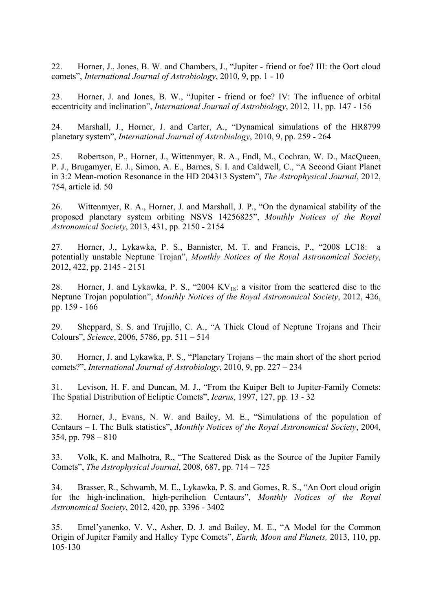22. Horner, J., Jones, B. W. and Chambers, J., "Jupiter - friend or foe? III: the Oort cloud comets", *International Journal of Astrobiology*, 2010, 9, pp. 1 - 10

23. Horner, J. and Jones, B. W., "Jupiter - friend or foe? IV: The influence of orbital eccentricity and inclination", *International Journal of Astrobiology*, 2012, 11, pp. 147 - 156

24. Marshall, J., Horner, J. and Carter, A., "Dynamical simulations of the HR8799 planetary system", *International Journal of Astrobiology*, 2010, 9, pp. 259 - 264

25. Robertson, P., Horner, J., Wittenmyer, R. A., Endl, M., Cochran, W. D., MacQueen, P. J., Brugamyer, E. J., Simon, A. E., Barnes, S. I. and Caldwell, C., "A Second Giant Planet in 3:2 Mean-motion Resonance in the HD 204313 System", *The Astrophysical Journal*, 2012, 754, article id. 50

26. Wittenmyer, R. A., Horner, J. and Marshall, J. P., "On the dynamical stability of the proposed planetary system orbiting NSVS 14256825", *Monthly Notices of the Royal Astronomical Society*, 2013, 431, pp. 2150 - 2154

27. Horner, J., Lykawka, P. S., Bannister, M. T. and Francis, P., "2008 LC18: a potentially unstable Neptune Trojan", *Monthly Notices of the Royal Astronomical Society*, 2012, 422, pp. 2145 - 2151

28. Horner, J. and Lykawka, P. S., "2004  $KV_{18}$ : a visitor from the scattered disc to the Neptune Trojan population", *Monthly Notices of the Royal Astronomical Society*, 2012, 426, pp. 159 - 166

29. Sheppard, S. S. and Trujillo, C. A., "A Thick Cloud of Neptune Trojans and Their Colours", *Science*, 2006, 5786, pp. 511 – 514

30. Horner, J. and Lykawka, P. S., "Planetary Trojans – the main short of the short period comets?", *International Journal of Astrobiology*, 2010, 9, pp. 227 – 234

31. Levison, H. F. and Duncan, M. J., "From the Kuiper Belt to Jupiter-Family Comets: The Spatial Distribution of Ecliptic Comets", *Icarus*, 1997, 127, pp. 13 - 32

32. Horner, J., Evans, N. W. and Bailey, M. E., "Simulations of the population of Centaurs – I. The Bulk statistics", *Monthly Notices of the Royal Astronomical Society*, 2004, 354, pp. 798 – 810

33. Volk, K. and Malhotra, R., "The Scattered Disk as the Source of the Jupiter Family Comets", *The Astrophysical Journal*, 2008, 687, pp. 714 – 725

34. Brasser, R., Schwamb, M. E., Lykawka, P. S. and Gomes, R. S., "An Oort cloud origin for the high-inclination, high-perihelion Centaurs", *Monthly Notices of the Royal Astronomical Society*, 2012, 420, pp. 3396 - 3402

35. Emel'yanenko, V. V., Asher, D. J. and Bailey, M. E., "A Model for the Common Origin of Jupiter Family and Halley Type Comets", *Earth, Moon and Planets,* 2013, 110, pp. 105-130